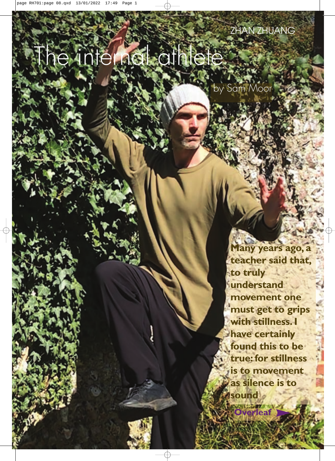# The internal athlete

by Sam Moor

**Many years ago, a teacher said that, to truly understand movement one must get to grips with stillness. I have certainly found this to be true: for stillness is to movement as silence is to sound**

**Overleaf**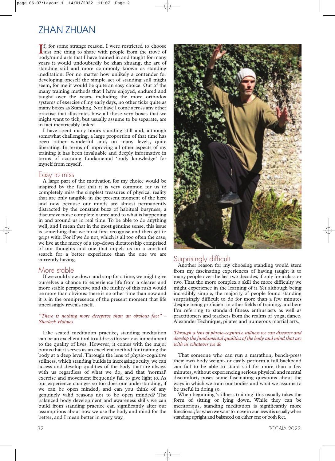# ZHAN ZHUAN

If, for some strange reason, I were restricted to choose<br>just one thing to share with people from the trove of just one thing to share with people from the trove of body/mind arts that I have trained in and taught for many years it would undoubtedly be zhan zhuang, the art of standing still and more commonly known as standing meditation. For no matter how unlikely a contender for developing oneself the simple act of standing still might seem, for me it would be quite an easy choice. Out of the many training methods that I have enjoyed, endured and taught over the years, including the more orthodox systems of exercise of my early days, no other ticks quite as many boxes as Standing. Nor have I come across any other practise that illustrates how all those very boxes that we might want to tick, but usually assume to be separate, are in fact inextricably linked.

I have spent many hours standing still and, although somewhat challenging, a large proportion of that time has been rather wonderful and, on many levels, quite liberating. In terms of improving all other aspects of my training it has been invaluable and deeply informative in terms of accruing fundamental 'body knowledge' for myself from myself.

### Easy to miss

A large part of the motivation for my choice would be inspired by the fact that it is very common for us to completely miss the simplest treasures of physical reality that are only tangible in the present moment of the here and now because our minds are almost permanently distracted by the constant buzz of habitual busyness; a discursive noise completely unrelated to what is happening in and around us in real time. To be able to do anything well, and I mean that in the most genuine sense, this issue is something that we must first recognise and then get to grips with. For if we do not, which is all too often the case, we live at the mercy of a top-down dictatorship comprised of our thoughts and one that impels us on a constant search for a better experience than the one we are currently having.

## More stable

If we could slow down and stop for a time, we might give ourselves a chance to experience life from a clearer and more stable perspective and the futility of this rush would be more than obvious: there is no other time than now and it is in the omnipresence of the present moment that life unceasingly reveals itself.

#### *"There is nothing more deceptive than an obvious fact" – Sherlock Holmes*

Like seated meditation practice, standing meditation can be an excellent tool to address this serious impediment to the quality of lives. However, it comes with the major bonus that it serves as an excellent method for training the body at a deep level. Through the lens of physio-cognitive stillness, which standing builds in increasing acuity, we can access and develop qualities of the body that are always with us regardless of what we do, and that 'normal' exercise and movement frequently fail to give light to. As our experience changes so too does our understanding, if we can be open minded; and can you think of any genuinely valid reasons not to be open minded? The balanced body development and awareness skills we can build from standing practice can significantly alter our assumptions about how we use the body and mind for the better, and I mean better in every way.





## Surprisingly difficult

Another reason for my choosing standing would stem from my fascinating experiences of having taught it to many people over the last two decades, if only for a class or two. That the more complex a skill the more difficulty we might experience in the learning of it. Yet although being incredibly simple, the majority of people found standing surprisingly difficult to do for more than a few minutes despite being proficient in other fields of training; and here I'm referring to standard fitness enthusiasts as well as practitioners and teachers from the realms of yoga, dance, Alexander Technique, pilates and numerous martial arts.

#### *Through a lens of physio-cognitive stillness we can discover and develop the fundamental qualities of the body and mind that are with us whatever we do*

That someone who can run a marathon, bench-press their own body weight, or easily perform a full backbend can fail to be able to stand still for more than a few minutes, without experiencing serious physical and mental discomfort, poses some fascinating questions about the ways in which we train our bodies and what we assume to be useful in doing so.

When beginning 'stillness training' this usually takes the form of sitting or lying down. While they can be meritorious, standing meditation is significantly more functional; for when we want to move in our lives it is usually when standing upright and balanced on either one or both feet.